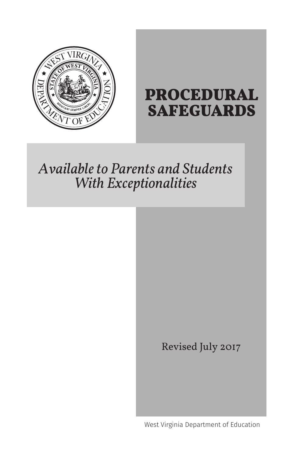

# **PROCEDURAL SAFEGUARDS**

# *Available to Parents and Students With Exceptionalities*

# Revised July 2017

West Virginia Department of Education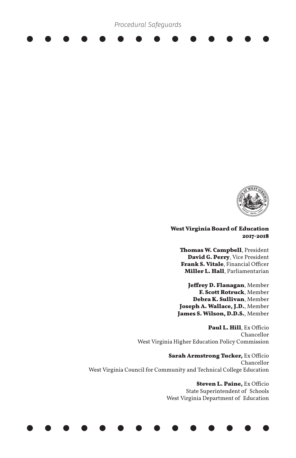

#### **West Virginia Board of Education 2017-2018**

**Thomas W. Campbell**, President **David G. Perry**, Vice President **Frank S. Vitale**, Financial Officer **Miller L. Hall**, Parliamentarian

**Jeffrey D. Flanagan**, Member **F. Scott Rotruck**, Member **Debra K. Sullivan**, Member **Joseph A. Wallace, J.D.**, Member **James S. Wilson, D.D.S.**, Member

**Paul L. Hill**, Ex Officio Chancellor West Virginia Higher Education Policy Commission

**Sarah Armstrong Tucker,** Ex Officio Chancellor West Virginia Council for Community and Technical College Education

> **Steven L. Paine,** Ex Officio State Superintendent of Schools West Virginia Department of Education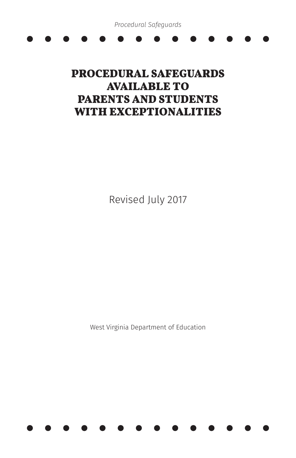# **PROCEDURAL SAFEGUARDS AVAILABLE TO PARENTS AND STUDENTS WITH EXCEPTIONALITIES**

Revised July 2017

West Virginia Department of Education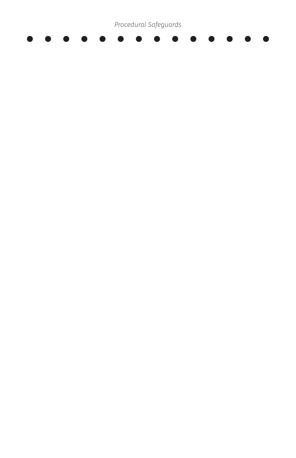|  |  |  | . |  |  |  |  |  |  |
|--|--|--|---|--|--|--|--|--|--|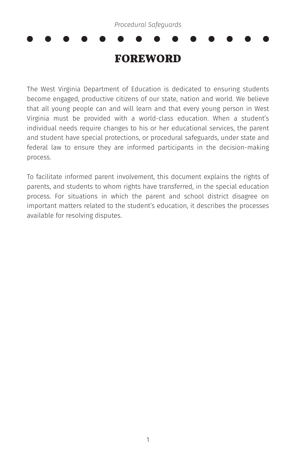

# **FOREWORD**

The West Virginia Department of Education is dedicated to ensuring students become engaged, productive citizens of our state, nation and world. We believe that all young people can and will learn and that every young person in West Virginia must be provided with a world-class education. When a student's individual needs require changes to his or her educational services, the parent and student have special protections, or procedural safeguards, under state and federal law to ensure they are informed participants in the decision-making process.

To facilitate informed parent involvement, this document explains the rights of parents, and students to whom rights have transferred, in the special education process. For situations in which the parent and school district disagree on important matters related to the student's education, it describes the processes available for resolving disputes.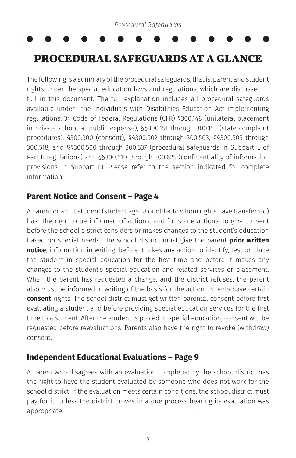# **PROCEDURAL SAFEGUARDS AT A GLANCE**

The following is a summary of the procedural safeguards, that is, parent and student rights under the special education laws and regulations, which are discussed in full in this document. The full explanation includes all procedural safeguards available under the Individuals with Disabilities Education Act implementing regulations, 34 Code of Federal Regulations (CFR) §300.148 (unilateral placement in private school at public expense), §§300.151 through 300.153 (state complaint procedures), §300.300 (consent), §§300.502 through 300.503, §§300.505 through 300.518, and §§300.500 through 300.537 (procedural safeguards in Subpart E of Part B regulations) and §§300.610 through 300.625 (confidentiality of information provisions in Subpart F). Please refer to the section indicated for complete information.

# **Parent Notice and Consent – Page 4**

A parent or adult student (student age 18 or older to whom rights have transferred) has the right to be informed of actions, and for some actions, to give consent before the school district considers or makes changes to the student's education based on special needs. The school district must give the parent **prior written notice**, information in writing, before it takes any action to identify, test or place the student in special education for the first time and before it makes any changes to the student's special education and related services or placement. When the parent has requested a change, and the district refuses, the parent also must be informed in writing of the basis for the action. Parents have certain **consent** rights. The school district must get written parental consent before first evaluating a student and before providing special education services for the first time to a student. After the student is placed in special education, consent will be requested before reevaluations. Parents also have the right to revoke (withdraw) consent.

# **Independent Educational Evaluations – Page 9**

A parent who disagrees with an evaluation completed by the school district has the right to have the student evaluated by someone who does not work for the school district. If the evaluation meets certain conditions, the school district must pay for it, unless the district proves in a due process hearing its evaluation was appropriate.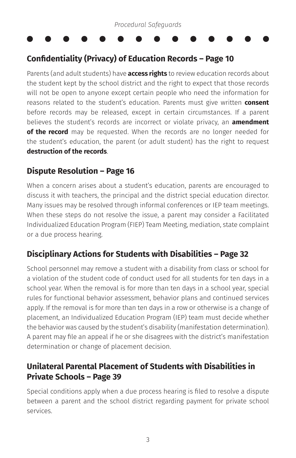

# **Confidentiality (Privacy) of Education Records – Page 10**

Parents (and adult students) have **access rights** to review education records about the student kept by the school district and the right to expect that those records will not be open to anyone except certain people who need the information for reasons related to the student's education. Parents must give written **consent** before records may be released, except in certain circumstances. If a parent believes the student's records are incorrect or violate privacy, an **amendment of the record** may be requested. When the records are no longer needed for the student's education, the parent (or adult student) has the right to request **destruction of the records**.

# **Dispute Resolution – Page 16**

When a concern arises about a student's education, parents are encouraged to discuss it with teachers, the principal and the district special education director. Many issues may be resolved through informal conferences or IEP team meetings. When these steps do not resolve the issue, a parent may consider a Facilitated Individualized Education Program (FIEP) Team Meeting, mediation, state complaint or a due process hearing.

# **Disciplinary Actions for Students with Disabilities – Page 32**

School personnel may remove a student with a disability from class or school for a violation of the student code of conduct used for all students for ten days in a school year. When the removal is for more than ten days in a school year, special rules for functional behavior assessment, behavior plans and continued services apply. If the removal is for more than ten days in a row or otherwise is a change of placement, an Individualized Education Program (IEP) team must decide whether the behavior was caused by the student's disability (manifestation determination). A parent may file an appeal if he or she disagrees with the district's manifestation determination or change of placement decision.

# **Unilateral Parental Placement of Students with Disabilities in Private Schools – Page 39**

Special conditions apply when a due process hearing is filed to resolve a dispute between a parent and the school district regarding payment for private school services.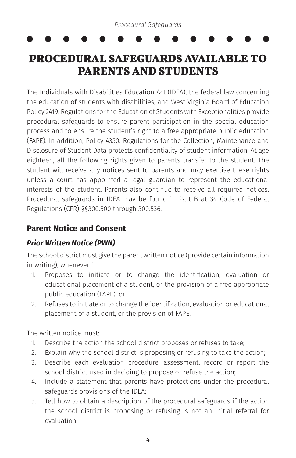# **PROCEDURAL SAFEGUARDS AVAILABLE TO PARENTS AND STUDENTS**

The Individuals with Disabilities Education Act (IDEA), the federal law concerning the education of students with disabilities, and West Virginia Board of Education Policy 2419: Regulations for the Education of Students with Exceptionalities provide procedural safeguards to ensure parent participation in the special education process and to ensure the student's right to a free appropriate public education (FAPE). In addition, Policy 4350: Regulations for the Collection, Maintenance and Disclosure of Student Data protects confidentiality of student information. At age eighteen, all the following rights given to parents transfer to the student. The student will receive any notices sent to parents and may exercise these rights unless a court has appointed a legal guardian to represent the educational interests of the student. Parents also continue to receive all required notices. Procedural safeguards in IDEA may be found in Part B at 34 Code of Federal Regulations (CFR) §§300.500 through 300.536.

# **Parent Notice and Consent**

# *Prior Written Notice (PWN)*

The school district must give the parent written notice (provide certain information in writing), whenever it:

- 1. Proposes to initiate or to change the identification, evaluation or educational placement of a student, or the provision of a free appropriate public education (FAPE), or
- 2. Refuses to initiate or to change the identification, evaluation or educational placement of a student, or the provision of FAPE.

The written notice must:

- 1. Describe the action the school district proposes or refuses to take;
- 2. Explain why the school district is proposing or refusing to take the action;
- 3. Describe each evaluation procedure, assessment, record or report the school district used in deciding to propose or refuse the action;
- 4. Include a statement that parents have protections under the procedural safeguards provisions of the IDEA;
- 5. Tell how to obtain a description of the procedural safeguards if the action the school district is proposing or refusing is not an initial referral for evaluation;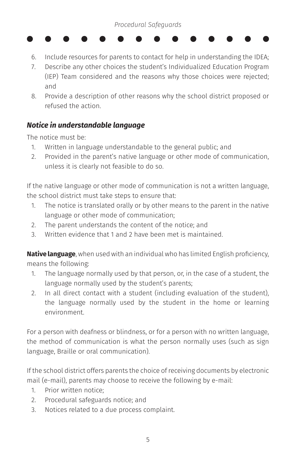

- 6. Include resources for parents to contact for help in understanding the IDEA;
- 7. Describe any other choices the student's Individualized Education Program (IEP) Team considered and the reasons why those choices were rejected; and
- 8. Provide a description of other reasons why the school district proposed or refused the action.

# *Notice in understandable language*

The notice must be:

- 1. Written in language understandable to the general public; and
- 2. Provided in the parent's native language or other mode of communication, unless it is clearly not feasible to do so.

If the native language or other mode of communication is not a written language, the school district must take steps to ensure that:

- 1. The notice is translated orally or by other means to the parent in the native language or other mode of communication;
- 2. The parent understands the content of the notice; and
- 3. Written evidence that 1 and 2 have been met is maintained.

**Native language**, when used with an individual who has limited English proficiency, means the following:

- 1. The language normally used by that person, or, in the case of a student, the language normally used by the student's parents;
- 2. In all direct contact with a student (including evaluation of the student), the language normally used by the student in the home or learning environment.

For a person with deafness or blindness, or for a person with no written language, the method of communication is what the person normally uses (such as sign language, Braille or oral communication).

If the school district offers parents the choice of receiving documents by electronic mail (e-mail), parents may choose to receive the following by e-mail:

- 1. Prior written notice;
- 2. Procedural safeguards notice; and
- 3. Notices related to a due process complaint.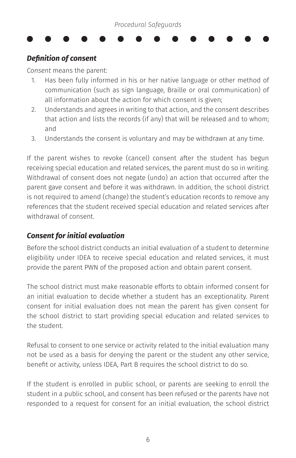

# *Definition of consent*

*Consent* means the parent:

- 1. Has been fully informed in his or her native language or other method of communication (such as sign language, Braille or oral communication) of all information about the action for which consent is given;
- 2. Understands and agrees in writing to that action, and the consent describes that action and lists the records (if any) that will be released and to whom; and
- 3. Understands the consent is voluntary and may be withdrawn at any time.

If the parent wishes to revoke (cancel) consent after the student has begun receiving special education and related services, the parent must do so in writing. Withdrawal of consent does not negate (undo) an action that occurred after the parent gave consent and before it was withdrawn. In addition, the school district is not required to amend (change) the student's education records to remove any references that the student received special education and related services after withdrawal of consent.

# *Consent for initial evaluation*

Before the school district conducts an initial evaluation of a student to determine eligibility under IDEA to receive special education and related services, it must provide the parent PWN of the proposed action and obtain parent consent.

The school district must make reasonable efforts to obtain informed consent for an initial evaluation to decide whether a student has an exceptionality. Parent consent for initial evaluation does not mean the parent has given consent for the school district to start providing special education and related services to the student.

Refusal to consent to one service or activity related to the initial evaluation many not be used as a basis for denying the parent or the student any other service, benefit or activity, unless IDEA, Part B requires the school district to do so.

If the student is enrolled in public school, or parents are seeking to enroll the student in a public school, and consent has been refused or the parents have not responded to a request for consent for an initial evaluation, the school district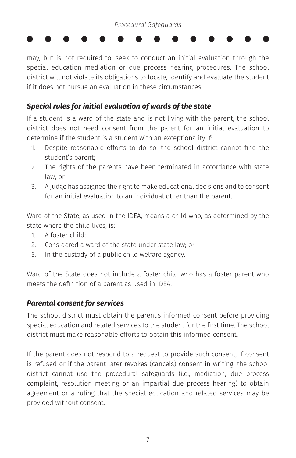

may, but is not required to, seek to conduct an initial evaluation through the special education mediation or due process hearing procedures. The school district will not violate its obligations to locate, identify and evaluate the student if it does not pursue an evaluation in these circumstances.

# *Special rules for initial evaluation of wards of the state*

If a student is a ward of the state and is not living with the parent, the school district does not need consent from the parent for an initial evaluation to determine if the student is a student with an exceptionality if:

- 1. Despite reasonable efforts to do so, the school district cannot find the student's parent;
- 2. The rights of the parents have been terminated in accordance with state law; or
- 3. A judge has assigned the right to make educational decisions and to consent for an initial evaluation to an individual other than the parent.

Ward of the State, as used in the IDEA, means a child who, as determined by the state where the child lives, is:

- 1. A foster child;
- 2. Considered a ward of the state under state law; or
- 3. In the custody of a public child welfare agency.

Ward of the State does not include a foster child who has a foster parent who meets the definition of a parent as used in IDEA.

# *Parental consent for services*

The school district must obtain the parent's informed consent before providing special education and related services to the student for the first time. The school district must make reasonable efforts to obtain this informed consent.

If the parent does not respond to a request to provide such consent, if consent is refused or if the parent later revokes (cancels) consent in writing, the school district cannot use the procedural safeguards (i.e., mediation, due process complaint, resolution meeting or an impartial due process hearing) to obtain agreement or a ruling that the special education and related services may be provided without consent.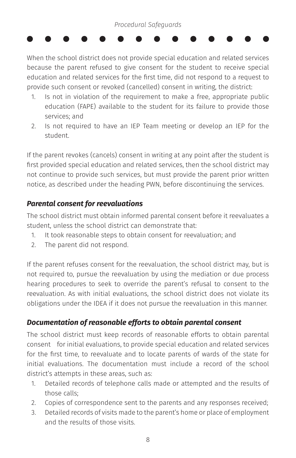

When the school district does not provide special education and related services because the parent refused to give consent for the student to receive special education and related services for the first time, did not respond to a request to provide such consent or revoked (cancelled) consent in writing, the district:

- 1. Is not in violation of the requirement to make a free, appropriate public education (FAPE) available to the student for its failure to provide those services; and
- 2. Is not required to have an IEP Team meeting or develop an IEP for the student.

If the parent revokes (cancels) consent in writing at any point after the student is first provided special education and related services, then the school district may not continue to provide such services, but must provide the parent prior written notice, as described under the heading PWN, before discontinuing the services.

# *Parental consent for reevaluations*

The school district must obtain informed parental consent before it reevaluates a student, unless the school district can demonstrate that:

- 1. It took reasonable steps to obtain consent for reevaluation; and
- 2. The parent did not respond.

If the parent refuses consent for the reevaluation, the school district may, but is not required to, pursue the reevaluation by using the mediation or due process hearing procedures to seek to override the parent's refusal to consent to the reevaluation. As with initial evaluations, the school district does not violate its obligations under the IDEA if it does not pursue the reevaluation in this manner.

# *Documentation of reasonable efforts to obtain parental consent*

The school district must keep records of reasonable efforts to obtain parental consent for initial evaluations, to provide special education and related services for the first time, to reevaluate and to locate parents of wards of the state for initial evaluations. The documentation must include a record of the school district's attempts in these areas, such as:

- 1. Detailed records of telephone calls made or attempted and the results of those calls;
- 2. Copies of correspondence sent to the parents and any responses received;
- 3. Detailed records of visits made to the parent's home or place of employment and the results of those visits.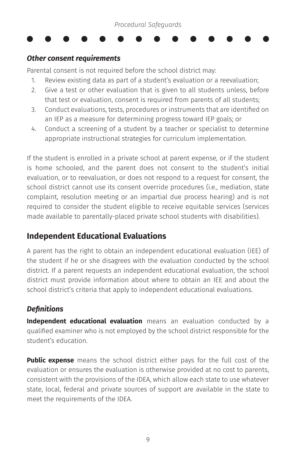

### *Other consent requirements*

Parental consent is not required before the school district may:

- 1. Review existing data as part of a student's evaluation or a reevaluation;
- 2. Give a test or other evaluation that is given to all students unless, before that test or evaluation, consent is required from parents of all students;
- 3. Conduct evaluations, tests, procedures or instruments that are identified on an IEP as a measure for determining progress toward IEP goals; or
- 4. Conduct a screening of a student by a teacher or specialist to determine appropriate instructional strategies for curriculum implementation.

If the student is enrolled in a private school at parent expense, or if the student is home schooled, and the parent does not consent to the student's initial evaluation, or to reevaluation, or does not respond to a request for consent, the school district cannot use its consent override procedures (i.e., mediation, state complaint, resolution meeting or an impartial due process hearing) and is not required to consider the student eligible to receive equitable services (services made available to parentally-placed private school students with disabilities).

# **Independent Educational Evaluations**

A parent has the right to obtain an independent educational evaluation (IEE) of the student if he or she disagrees with the evaluation conducted by the school district. If a parent requests an independent educational evaluation, the school district must provide information about where to obtain an IEE and about the school district's criteria that apply to independent educational evaluations.

# *Definitions*

**Independent educational evaluation** means an evaluation conducted by a qualified examiner who is not employed by the school district responsible for the student's education.

**Public expense** means the school district either pays for the full cost of the evaluation or ensures the evaluation is otherwise provided at no cost to parents, consistent with the provisions of the IDEA, which allow each state to use whatever state, local, federal and private sources of support are available in the state to meet the requirements of the IDEA.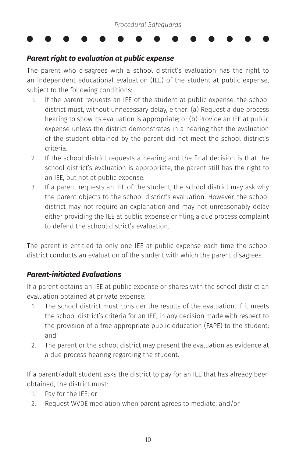

# *Parent right to evaluation at public expense*

The parent who disagrees with a school district's evaluation has the right to an independent educational evaluation (IEE) of the student at public expense, subject to the following conditions:

- 1. If the parent requests an IEE of the student at public expense, the school district must, without unnecessary delay, either: (a) Request a due process hearing to show its evaluation is appropriate; or (b) Provide an IEE at public expense unless the district demonstrates in a hearing that the evaluation of the student obtained by the parent did not meet the school district's criteria.
- 2. If the school district requests a hearing and the final decision is that the school district's evaluation is appropriate, the parent still has the right to an IEE, but not at public expense.
- 3. If a parent requests an IEE of the student, the school district may ask why the parent objects to the school district's evaluation. However, the school district may not require an explanation and may not unreasonably delay either providing the IEE at public expense or filing a due process complaint to defend the school district's evaluation.

The parent is entitled to only one IEE at public expense each time the school district conducts an evaluation of the student with which the parent disagrees.

# *Parent-initiated Evaluations*

If a parent obtains an IEE at public expense or shares with the school district an evaluation obtained at private expense:

- 1. The school district must consider the results of the evaluation, if it meets the school district's criteria for an IEE, in any decision made with respect to the provision of a free appropriate public education (FAPE) to the student; and
- 2. The parent or the school district may present the evaluation as evidence at a due process hearing regarding the student.

If a parent/adult student asks the district to pay for an IEE that has already been obtained, the district must:

- 1. Pay for the IEE; or
- 2. Request WVDE mediation when parent agrees to mediate; and/or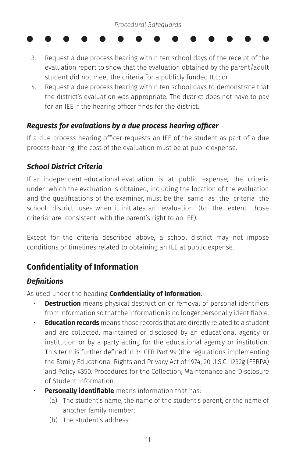

- 3. Request a due process hearing within ten school days of the receipt of the evaluation report to show that the evaluation obtained by the parent/adult student did not meet the criteria for a publicly funded IEE; or
- 4. Request a due process hearing within ten school days to demonstrate that the district's evaluation was appropriate. The district does not have to pay for an IEE if the hearing officer finds for the district.

# *Requests for evaluations by a due process hearing officer*

If a due process hearing officer requests an IEE of the student as part of a due process hearing, the cost of the evaluation must be at public expense.

# *School District Criteria*

If an independent educational evaluation is at public expense, the criteria under which the evaluation is obtained, including the location of the evaluation and the qualifications of the examiner, must be the same as the criteria the school district uses when it initiates an evaluation (to the extent those criteria are consistent with the parent's right to an IEE).

Except for the criteria described above, a school district may not impose conditions or timelines related to obtaining an IEE at public expense.

# **Confidentiality of Information**

# *Definitions*

As used under the heading **Confidentiality of Information**:

- **Destruction** means physical destruction or removal of personal identifiers from information so that the information is no longer personally identifiable.
- **Education records** means those records that are directly related to a student and are collected, maintained or disclosed by an educational agency or institution or by a party acting for the educational agency or institution. This term is further defined in 34 CFR Part 99 (the regulations implementing the Family Educational Rights and Privacy Act of 1974, 20 U.S.C. 1232g (FERPA) and Policy 4350: Procedures for the Collection, Maintenance and Disclosure of Student Information.
- **Personally identifiable** means information that has:
	- (a) The student's name, the name of the student's parent, or the name of another family member;
	- (b) The student's address;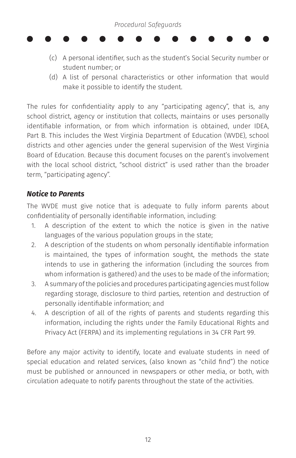

- (c) A personal identifier, such as the student's Social Security number or student number; or
- (d) A list of personal characteristics or other information that would make it possible to identify the student.

The rules for confidentiality apply to any "participating agency", that is, any school district, agency or institution that collects, maintains or uses personally identifiable information, or from which information is obtained, under IDEA, Part B. This includes the West Virginia Department of Education (WVDE), school districts and other agencies under the general supervision of the West Virginia Board of Education. Because this document focuses on the parent's involvement with the local school district, "school district" is used rather than the broader term, "participating agency".

# *Notice to Parents*

The WVDE must give notice that is adequate to fully inform parents about confidentiality of personally identifiable information, including:

- 1. A description of the extent to which the notice is given in the native languages of the various population groups in the state;
- 2. A description of the students on whom personally identifiable information is maintained, the types of information sought, the methods the state intends to use in gathering the information (including the sources from whom information is gathered) and the uses to be made of the information;
- 3. A summary of the policies and procedures participating agencies must follow regarding storage, disclosure to third parties, retention and destruction of personally identifiable information; and
- 4. A description of all of the rights of parents and students regarding this information, including the rights under the Family Educational Rights and Privacy Act (FERPA) and its implementing regulations in 34 CFR Part 99.

Before any major activity to identify, locate and evaluate students in need of special education and related services, (also known as "child find") the notice must be published or announced in newspapers or other media, or both, with circulation adequate to notify parents throughout the state of the activities.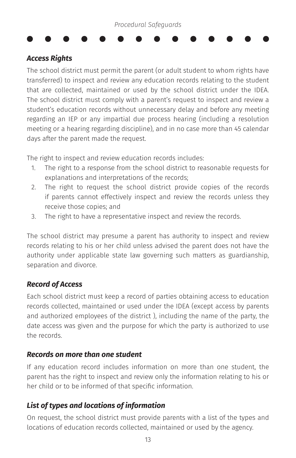



# *Access Rights*

The school district must permit the parent (or adult student to whom rights have transferred) to inspect and review any education records relating to the student that are collected, maintained or used by the school district under the IDEA. The school district must comply with a parent's request to inspect and review a student's education records without unnecessary delay and before any meeting regarding an IEP or any impartial due process hearing (including a resolution meeting or a hearing regarding discipline), and in no case more than 45 calendar days after the parent made the request.

The right to inspect and review education records includes:

- 1. The right to a response from the school district to reasonable requests for explanations and interpretations of the records;
- 2. The right to request the school district provide copies of the records if parents cannot effectively inspect and review the records unless they receive those copies; and
- 3. The right to have a representative inspect and review the records.

The school district may presume a parent has authority to inspect and review records relating to his or her child unless advised the parent does not have the authority under applicable state law governing such matters as guardianship, separation and divorce.

# *Record of Access*

Each school district must keep a record of parties obtaining access to education records collected, maintained or used under the IDEA (except access by parents and authorized employees of the district ), including the name of the party, the date access was given and the purpose for which the party is authorized to use the records.

# *Records on more than one student*

If any education record includes information on more than one student, the parent has the right to inspect and review only the information relating to his or her child or to be informed of that specific information.

# *List of types and locations of information*

On request, the school district must provide parents with a list of the types and locations of education records collected, maintained or used by the agency.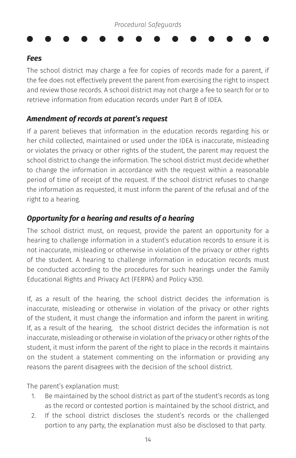

# *Fees*

The school district may charge a fee for copies of records made for a parent, if the fee does not effectively prevent the parent from exercising the right to inspect and review those records. A school district may not charge a fee to search for or to retrieve information from education records under Part B of IDEA.

### *Amendment of records at parent's request*

If a parent believes that information in the education records regarding his or her child collected, maintained or used under the IDEA is inaccurate, misleading or violates the privacy or other rights of the student, the parent may request the school district to change the information. The school district must decide whether to change the information in accordance with the request within a reasonable period of time of receipt of the request. If the school district refuses to change the information as requested, it must inform the parent of the refusal and of the right to a hearing.

# *Opportunity for a hearing and results of a hearing*

The school district must, on request, provide the parent an opportunity for a hearing to challenge information in a student's education records to ensure it is not inaccurate, misleading or otherwise in violation of the privacy or other rights of the student. A hearing to challenge information in education records must be conducted according to the procedures for such hearings under the Family Educational Rights and Privacy Act (FERPA) and Policy 4350.

If, as a result of the hearing, the school district decides the information is inaccurate, misleading or otherwise in violation of the privacy or other rights of the student, it must change the information and inform the parent in writing. If, as a result of the hearing, the school district decides the information is not inaccurate, misleading or otherwise in violation of the privacy or other rights of the student, it must inform the parent of the right to place in the records it maintains on the student a statement commenting on the information or providing any reasons the parent disagrees with the decision of the school district.

The parent's explanation must:

- 1. Be maintained by the school district as part of the student's records as long as the record or contested portion is maintained by the school district, and
- 2. If the school district discloses the student's records or the challenged portion to any party, the explanation must also be disclosed to that party.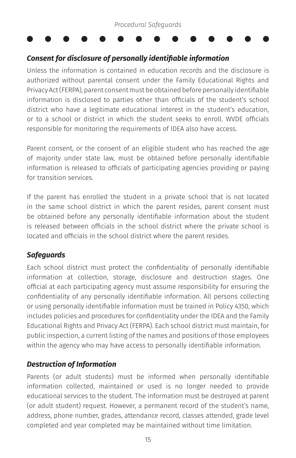

# *Consent for disclosure of personally identifiable information*

Unless the information is contained in education records and the disclosure is authorized without parental consent under the Family Educational Rights and Privacy Act (FERPA), parent consent must be obtained before personally identifiable information is disclosed to parties other than officials of the student's school district who have a legitimate educational interest in the student's education, or to a school or district in which the student seeks to enroll. WVDE officials responsible for monitoring the requirements of IDEA also have access.

Parent consent, or the consent of an eligible student who has reached the age of majority under state law, must be obtained before personally identifiable information is released to officials of participating agencies providing or paying for transition services.

If the parent has enrolled the student in a private school that is not located in the same school district in which the parent resides, parent consent must be obtained before any personally identifiable information about the student is released between officials in the school district where the private school is located and officials in the school district where the parent resides.

# *Safeguards*

Each school district must protect the confidentiality of personally identifiable information at collection, storage, disclosure and destruction stages. One official at each participating agency must assume responsibility for ensuring the confidentiality of any personally identifiable information. All persons collecting or using personally identifiable information must be trained in Policy 4350, which includes policies and procedures for confidentiality under the IDEA and the Family Educational Rights and Privacy Act (FERPA). Each school district must maintain, for public inspection, a current listing of the names and positions of those employees within the agency who may have access to personally identifiable information.

# *Destruction of Information*

Parents (or adult students) must be informed when personally identifiable information collected, maintained or used is no longer needed to provide educational services to the student. The information must be destroyed at parent (or adult student) request. However, a permanent record of the student's name, address, phone number, grades, attendance record, classes attended, grade level completed and year completed may be maintained without time limitation.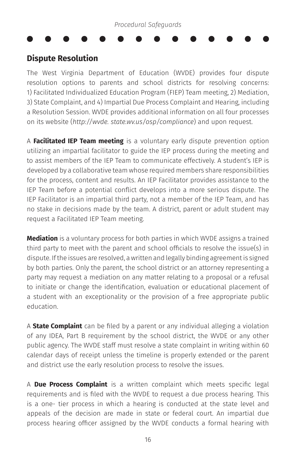

# **Dispute Resolution**

The West Virginia Department of Education (WVDE) provides four dispute resolution options to parents and school districts for resolving concerns: 1) Facilitated Individualized Education Program (FIEP) Team meeting, 2) Mediation, 3) State Complaint, and 4) Impartial Due Process Complaint and Hearing, including a Resolution Session. WVDE provides additional information on all four processes on its website (*http://wvde. state.wv.us/osp/compliance*) and upon request.

A **Facilitated IEP Team meeting** is a voluntary early dispute prevention option utilizing an impartial facilitator to guide the IEP process during the meeting and to assist members of the IEP Team to communicate effectively. A student's IEP is developed by a collaborative team whose required members share responsibilities for the process, content and results. An IEP Facilitator provides assistance to the IEP Team before a potential conflict develops into a more serious dispute. The IEP Facilitator is an impartial third party, not a member of the IEP Team, and has no stake in decisions made by the team. A district, parent or adult student may request a Facilitated IEP Team meeting.

**Mediation** is a voluntary process for both parties in which WVDE assigns a trained third party to meet with the parent and school officials to resolve the issue(s) in dispute. If the issues are resolved, a written and legally binding agreement is signed by both parties. Only the parent, the school district or an attorney representing a party may request a mediation on any matter relating to a proposal or a refusal to initiate or change the identification, evaluation or educational placement of a student with an exceptionality or the provision of a free appropriate public education.

A **State Complaint** can be filed by a parent or any individual alleging a violation of any IDEA, Part B requirement by the school district, the WVDE or any other public agency. The WVDE staff must resolve a state complaint in writing within 60 calendar days of receipt unless the timeline is properly extended or the parent and district use the early resolution process to resolve the issues.

A **Due Process Complaint** is a written complaint which meets specific legal requirements and is filed with the WVDE to request a due process hearing. This is a one- tier process in which a hearing is conducted at the state level and appeals of the decision are made in state or federal court. An impartial due process hearing officer assigned by the WVDE conducts a formal hearing with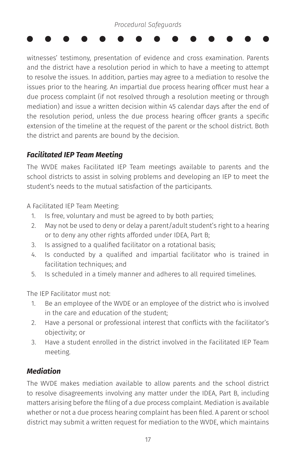

witnesses' testimony, presentation of evidence and cross examination. Parents and the district have a resolution period in which to have a meeting to attempt to resolve the issues. In addition, parties may agree to a mediation to resolve the issues prior to the hearing. An impartial due process hearing officer must hear a due process complaint (if not resolved through a resolution meeting or through mediation) and issue a written decision within 45 calendar days after the end of the resolution period, unless the due process hearing officer grants a specific extension of the timeline at the request of the parent or the school district. Both the district and parents are bound by the decision.

# *Facilitated IEP Team Meeting*

The WVDE makes Facilitated IEP Team meetings available to parents and the school districts to assist in solving problems and developing an IEP to meet the student's needs to the mutual satisfaction of the participants.

A Facilitated IEP Team Meeting:

- 1. Is free, voluntary and must be agreed to by both parties;
- 2. May not be used to deny or delay a parent/adult student's right to a hearing or to deny any other rights afforded under IDEA, Part B;
- 3. Is assigned to a qualified facilitator on a rotational basis;
- 4. Is conducted by a qualified and impartial facilitator who is trained in facilitation techniques; and
- 5. Is scheduled in a timely manner and adheres to all required timelines.

The IEP Facilitator must not:

- 1. Be an employee of the WVDE or an employee of the district who is involved in the care and education of the student;
- 2. Have a personal or professional interest that conflicts with the facilitator's objectivity; or
- 3. Have a student enrolled in the district involved in the Facilitated IEP Team meeting.

### *Mediation*

The WVDE makes mediation available to allow parents and the school district to resolve disagreements involving any matter under the IDEA, Part B, including matters arising before the filing of a due process complaint. Mediation is available whether or not a due process hearing complaint has been filed. A parent or school district may submit a written request for mediation to the WVDE, which maintains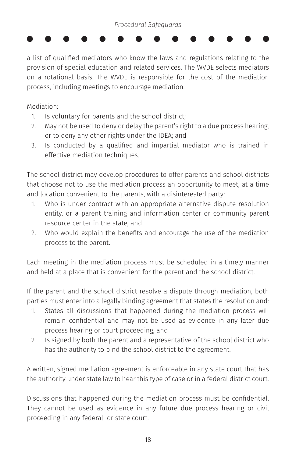

a list of qualified mediators who know the laws and regulations relating to the provision of special education and related services. The WVDE selects mediators on a rotational basis. The WVDE is responsible for the cost of the mediation process, including meetings to encourage mediation.

Mediation:

- 1. Is voluntary for parents and the school district;
- 2. May not be used to deny or delay the parent's right to a due process hearing, or to deny any other rights under the IDEA; and
- 3. Is conducted by a qualified and impartial mediator who is trained in effective mediation techniques.

The school district may develop procedures to offer parents and school districts that choose not to use the mediation process an opportunity to meet, at a time and location convenient to the parents, with a disinterested party:

- 1. Who is under contract with an appropriate alternative dispute resolution entity, or a parent training and information center or community parent resource center in the state, and
- 2. Who would explain the benefits and encourage the use of the mediation process to the parent.

Each meeting in the mediation process must be scheduled in a timely manner and held at a place that is convenient for the parent and the school district.

If the parent and the school district resolve a dispute through mediation, both parties must enter into a legally binding agreement that states the resolution and:

- 1. States all discussions that happened during the mediation process will remain confidential and may not be used as evidence in any later due process hearing or court proceeding, and
- 2. Is signed by both the parent and a representative of the school district who has the authority to bind the school district to the agreement.

A written, signed mediation agreement is enforceable in any state court that has the authority under state law to hear this type of case or in a federal district court.

Discussions that happened during the mediation process must be confidential. They cannot be used as evidence in any future due process hearing or civil proceeding in any federal or state court.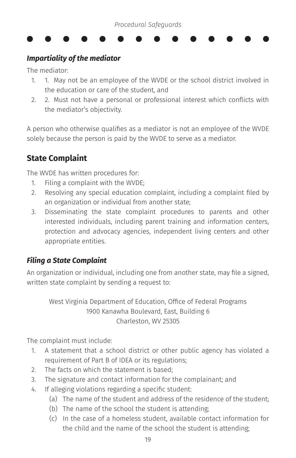

# *Impartiality of the mediator*

The mediator:

- 1. 1. May not be an employee of the WVDE or the school district involved in the education or care of the student, and
- 2. 2. Must not have a personal or professional interest which conflicts with the mediator's objectivity.

A person who otherwise qualifies as a mediator is not an employee of the WVDE solely because the person is paid by the WVDE to serve as a mediator.

# **State Complaint**

The WVDE has written procedures for:

- 1. Filing a complaint with the WVDE;
- 2. Resolving any special education complaint, including a complaint filed by an organization or individual from another state;
- 3. Disseminating the state complaint procedures to parents and other interested individuals, including parent training and information centers, protection and advocacy agencies, independent living centers and other appropriate entities.

# *Filing a State Complaint*

An organization or individual, including one from another state, may file a signed, written state complaint by sending a request to:

West Virginia Department of Education, Office of Federal Programs 1900 Kanawha Boulevard, East, Building 6 Charleston, WV 25305

The complaint must include:

- 1. A statement that a school district or other public agency has violated a requirement of Part B of IDEA or its regulations;
- 2. The facts on which the statement is based;
- 3. The signature and contact information for the complainant; and
- 4. If alleging violations regarding a specific student:
	- (a) The name of the student and address of the residence of the student;
	- (b) The name of the school the student is attending;
	- (c) In the case of a homeless student, available contact information for the child and the name of the school the student is attending;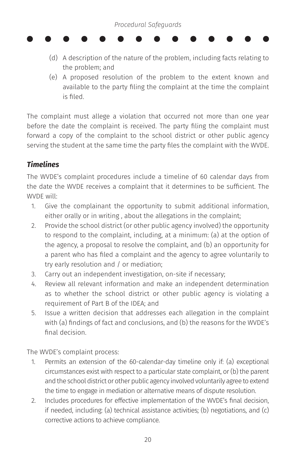

- (d) A description of the nature of the problem, including facts relating to the problem; and
- (e) A proposed resolution of the problem to the extent known and available to the party filing the complaint at the time the complaint is filed.

The complaint must allege a violation that occurred not more than one year before the date the complaint is received. The party filing the complaint must forward a copy of the complaint to the school district or other public agency serving the student at the same time the party files the complaint with the WVDE.

# *Timelines*

The WVDE's complaint procedures include a timeline of 60 calendar days from the date the WVDE receives a complaint that it determines to be sufficient. The WVDE will:

- 1. Give the complainant the opportunity to submit additional information, either orally or in writing , about the allegations in the complaint;
- 2. Provide the school district (or other public agency involved) the opportunity to respond to the complaint, including, at a minimum: (a) at the option of the agency, a proposal to resolve the complaint, and (b) an opportunity for a parent who has filed a complaint and the agency to agree voluntarily to try early resolution and / or mediation;
- 3. Carry out an independent investigation, on-site if necessary;
- 4. Review all relevant information and make an independent determination as to whether the school district or other public agency is violating a requirement of Part B of the IDEA; and
- 5. Issue a written decision that addresses each allegation in the complaint with (a) findings of fact and conclusions, and (b) the reasons for the WVDE's final decision.

The WVDE's complaint process:

- 1. Permits an extension of the 60-calendar-day timeline only if: (a) exceptional circumstances exist with respect to a particular state complaint, or (b) the parent and the school district or other public agency involved voluntarily agree to extend the time to engage in mediation or alternative means of dispute resolution.
- 2. Includes procedures for effective implementation of the WVDE's final decision, if needed, including: (a) technical assistance activities; (b) negotiations, and (c) corrective actions to achieve compliance.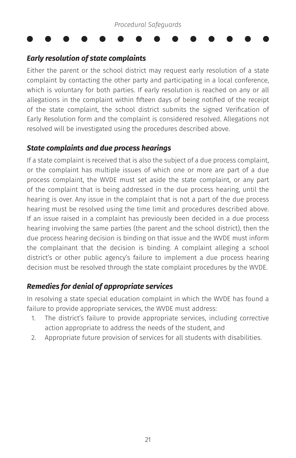

# *Early resolution of state complaints*

Either the parent or the school district may request early resolution of a state complaint by contacting the other party and participating in a local conference, which is voluntary for both parties. If early resolution is reached on any or all allegations in the complaint within fifteen days of being notified of the receipt of the state complaint, the school district submits the signed Verification of Early Resolution form and the complaint is considered resolved. Allegations not resolved will be investigated using the procedures described above.

# *State complaints and due process hearings*

If a state complaint is received that is also the subject of a due process complaint, or the complaint has multiple issues of which one or more are part of a due process complaint, the WVDE must set aside the state complaint, or any part of the complaint that is being addressed in the due process hearing, until the hearing is over. Any issue in the complaint that is not a part of the due process hearing must be resolved using the time limit and procedures described above. If an issue raised in a complaint has previously been decided in a due process hearing involving the same parties (the parent and the school district), then the due process hearing decision is binding on that issue and the WVDE must inform the complainant that the decision is binding. A complaint alleging a school district's or other public agency's failure to implement a due process hearing decision must be resolved through the state complaint procedures by the WVDE.

# *Remedies for denial of appropriate services*

In resolving a state special education complaint in which the WVDE has found a failure to provide appropriate services, the WVDE must address:

- 1. The district's failure to provide appropriate services, including corrective action appropriate to address the needs of the student, and
- 2. Appropriate future provision of services for all students with disabilities.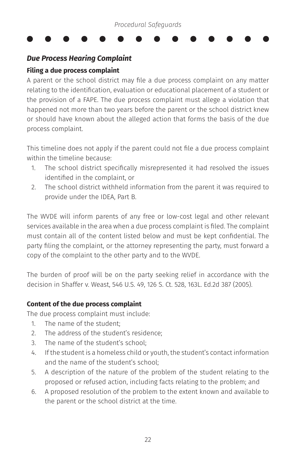

### *Due Process Hearing Complaint*

#### **Filing a due process complaint**

A parent or the school district may file a due process complaint on any matter relating to the identification, evaluation or educational placement of a student or the provision of a FAPE. The due process complaint must allege a violation that happened not more than two years before the parent or the school district knew or should have known about the alleged action that forms the basis of the due process complaint.

This timeline does not apply if the parent could not file a due process complaint within the timeline because:

- 1. The school district specifically misrepresented it had resolved the issues identified in the complaint, or
- 2. The school district withheld information from the parent it was required to provide under the IDEA, Part B.

The WVDE will inform parents of any free or low-cost legal and other relevant services available in the area when a due process complaint is filed. The complaint must contain all of the content listed below and must be kept confidential. The party filing the complaint, or the attorney representing the party, must forward a copy of the complaint to the other party and to the WVDE.

The burden of proof will be on the party seeking relief in accordance with the decision in Shaffer v. Weast, 546 U.S. 49, 126 S. Ct. 528, 163L. Ed.2d 387 (2005).

### **Content of the due process complaint**

The due process complaint must include:

- 1. The name of the student;
- 2. The address of the student's residence;
- 3. The name of the student's school;
- 4. If the student is a homeless child or youth, the student's contact information and the name of the student's school;
- 5. A description of the nature of the problem of the student relating to the proposed or refused action, including facts relating to the problem; and
- 6. A proposed resolution of the problem to the extent known and available to the parent or the school district at the time.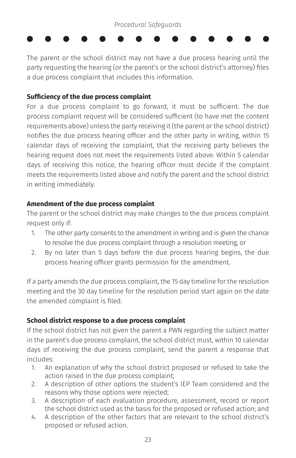

The parent or the school district may not have a due process hearing until the party requesting the hearing (or the parent's or the school district's attorney) files a due process complaint that includes this information.

#### **Sufficiency of the due process complaint**

For a due process complaint to go forward, it must be sufficient. The due process complaint request will be considered sufficient (to have met the content requirements above) unless the party receiving it (the parent or the school district) notifies the due process hearing officer and the other party in writing, within 15 calendar days of receiving the complaint, that the receiving party believes the hearing request does not meet the requirements listed above. Within 5 calendar days of receiving this notice, the hearing officer must decide if the complaint meets the requirements listed above and notify the parent and the school district in writing immediately.

#### **Amendment of the due process complaint**

The parent or the school district may make changes to the due process complaint request only if:

- 1. The other party consents to the amendment in writing and is given the chance to resolve the due process complaint through a resolution meeting, or
- 2. By no later than 5 days before the due process hearing begins, the due process hearing officer grants permission for the amendment.

If a party amends the due process complaint, the 15 day timeline for the resolution meeting and the 30 day timeline for the resolution period start again on the date the amended complaint is filed.

### **School district response to a due process complaint**

If the school district has not given the parent a PWN regarding the subject matter in the parent's due process complaint, the school district must, within 10 calendar days of receiving the due process complaint, send the parent a response that includes:

- 1. An explanation of why the school district proposed or refused to take the action raised in the due process complaint;
- 2. A description of other options the student's IEP Team considered and the reasons why those options were rejected;
- 3. A description of each evaluation procedure, assessment, record or report the school district used as the basis for the proposed or refused action; and
- 4. A description of the other factors that are relevant to the school district's proposed or refused action.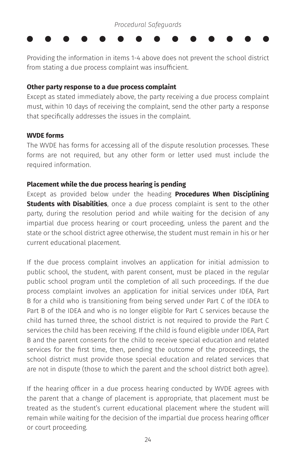

Providing the information in items 1-4 above does not prevent the school district from stating a due process complaint was insufficient.

#### **Other party response to a due process complaint**

Except as stated immediately above, the party receiving a due process complaint must, within 10 days of receiving the complaint, send the other party a response that specifically addresses the issues in the complaint.

#### **WVDE forms**

The WVDE has forms for accessing all of the dispute resolution processes. These forms are not required, but any other form or letter used must include the required information.

### **Placement while the due process hearing is pending**

Except as provided below under the heading **Procedures When Disciplining Students with Disabilities**, once a due process complaint is sent to the other party, during the resolution period and while waiting for the decision of any impartial due process hearing or court proceeding, unless the parent and the state or the school district agree otherwise, the student must remain in his or her current educational placement.

If the due process complaint involves an application for initial admission to public school, the student, with parent consent, must be placed in the regular public school program until the completion of all such proceedings. If the due process complaint involves an application for initial services under IDEA, Part B for a child who is transitioning from being served under Part C of the IDEA to Part B of the IDEA and who is no longer eligible for Part C services because the child has turned three, the school district is not required to provide the Part C services the child has been receiving. If the child is found eligible under IDEA, Part B and the parent consents for the child to receive special education and related services for the first time, then, pending the outcome of the proceedings, the school district must provide those special education and related services that are not in dispute (those to which the parent and the school district both agree).

If the hearing officer in a due process hearing conducted by WVDE agrees with the parent that a change of placement is appropriate, that placement must be treated as the student's current educational placement where the student will remain while waiting for the decision of the impartial due process hearing officer or court proceeding.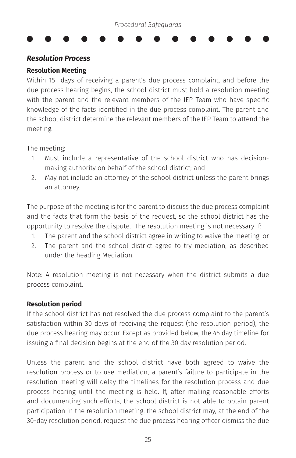

### *Resolution Process*

#### **Resolution Meeting**

Within 15 days of receiving a parent's due process complaint, and before the due process hearing begins, the school district must hold a resolution meeting with the parent and the relevant members of the IEP Team who have specific knowledge of the facts identified in the due process complaint. The parent and the school district determine the relevant members of the IEP Team to attend the meeting.

The meeting:

- 1. Must include a representative of the school district who has decisionmaking authority on behalf of the school district; and
- 2. May not include an attorney of the school district unless the parent brings an attorney.

The purpose of the meeting is for the parent to discuss the due process complaint and the facts that form the basis of the request, so the school district has the opportunity to resolve the dispute. The resolution meeting is not necessary if:

- 1. The parent and the school district agree in writing to waive the meeting, or
- 2. The parent and the school district agree to try mediation, as described under the heading Mediation.

Note: A resolution meeting is not necessary when the district submits a due process complaint.

### **Resolution period**

If the school district has not resolved the due process complaint to the parent's satisfaction within 30 days of receiving the request (the resolution period), the due process hearing may occur. Except as provided below, the 45 day timeline for issuing a final decision begins at the end of the 30 day resolution period.

Unless the parent and the school district have both agreed to waive the resolution process or to use mediation, a parent's failure to participate in the resolution meeting will delay the timelines for the resolution process and due process hearing until the meeting is held. If, after making reasonable efforts and documenting such efforts, the school district is not able to obtain parent participation in the resolution meeting, the school district may, at the end of the 30-day resolution period, request the due process hearing officer dismiss the due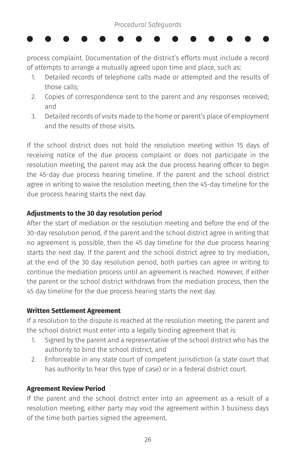

process complaint. Documentation of the district's efforts must include a record of attempts to arrange a mutually agreed upon time and place, such as:

- 1. Detailed records of telephone calls made or attempted and the results of those calls;
- 2. Copies of correspondence sent to the parent and any responses received; and
- 3. Detailed records of visits made to the home or parent's place of employment and the results of those visits.

If the school district does not hold the resolution meeting within 15 days of receiving notice of the due process complaint or does not participate in the resolution meeting, the parent may ask the due process hearing officer to begin the 45-day due process hearing timeline. If the parent and the school district agree in writing to waive the resolution meeting, then the 45-day timeline for the due process hearing starts the next day.

#### **Adjustments to the 30 day resolution period**

After the start of mediation or the resolution meeting and before the end of the 30-day resolution period, if the parent and the school district agree in writing that no agreement is possible, then the 45 day timeline for the due process hearing starts the next day. If the parent and the school district agree to try mediation, at the end of the 30 day resolution period, both parties can agree in writing to continue the mediation process until an agreement is reached. However, if either the parent or the school district withdraws from the mediation process, then the 45 day timeline for the due process hearing starts the next day.

#### **Written Settlement Agreement**

If a resolution to the dispute is reached at the resolution meeting, the parent and the school district must enter into a legally binding agreement that is:

- 1. Signed by the parent and a representative of the school district who has the authority to bind the school district, and
- 2. Enforceable in any state court of competent jurisdiction (a state court that has authority to hear this type of case) or in a federal district court.

#### **Agreement Review Period**

If the parent and the school district enter into an agreement as a result of a resolution meeting, either party may void the agreement within 3 business days of the time both parties signed the agreement.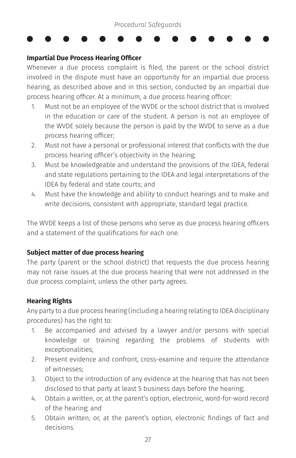

#### **Impartial Due Process Hearing Officer**

Whenever a due process complaint is filed, the parent or the school district involved in the dispute must have an opportunity for an impartial due process hearing, as described above and in this section, conducted by an impartial due process hearing officer. At a minimum, a due process hearing officer:

- 1. Must not be an employee of the WVDE or the school district that is involved in the education or care of the student. A person is not an employee of the WVDE solely because the person is paid by the WVDE to serve as a due process hearing officer;
- 2. Must not have a personal or professional interest that conflicts with the due process hearing officer's objectivity in the hearing;
- 3. Must be knowledgeable and understand the provisions of the IDEA, federal and state regulations pertaining to the IDEA and legal interpretations of the IDEA by federal and state courts; and
- 4. Must have the knowledge and ability to conduct hearings and to make and write decisions, consistent with appropriate, standard legal practice.

The WVDE keeps a list of those persons who serve as due process hearing officers and a statement of the qualifications for each one.

### **Subject matter of due process hearing**

The party (parent or the school district) that requests the due process hearing may not raise issues at the due process hearing that were not addressed in the due process complaint, unless the other party agrees.

### **Hearing Rights**

Any party to a due process hearing (including a hearing relating to IDEA disciplinary procedures) has the right to:

- 1. Be accompanied and advised by a lawyer and/or persons with special knowledge or training regarding the problems of students with exceptionalities;
- 2. Present evidence and confront, cross-examine and require the attendance of witnesses;
- 3. Object to the introduction of any evidence at the hearing that has not been disclosed to that party at least 5 business days before the hearing;
- 4. Obtain a written, or, at the parent's option, electronic, word-for-word record of the hearing; and
- 5. Obtain written, or, at the parent's option, electronic findings of fact and decisions.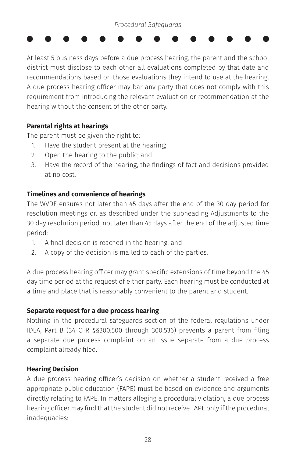

At least 5 business days before a due process hearing, the parent and the school district must disclose to each other all evaluations completed by that date and recommendations based on those evaluations they intend to use at the hearing. A due process hearing officer may bar any party that does not comply with this requirement from introducing the relevant evaluation or recommendation at the hearing without the consent of the other party.

#### **Parental rights at hearings**

The parent must be given the right to:

- 1. Have the student present at the hearing;
- 2. Open the hearing to the public; and
- 3. Have the record of the hearing, the findings of fact and decisions provided at no cost.

### **Timelines and convenience of hearings**

The WVDE ensures not later than 45 days after the end of the 30 day period for resolution meetings or, as described under the subheading Adjustments to the 30 day resolution period, not later than 45 days after the end of the adjusted time period:

- 1. A final decision is reached in the hearing, and
- 2. A copy of the decision is mailed to each of the parties.

A due process hearing officer may grant specific extensions of time beyond the 45 day time period at the request of either party. Each hearing must be conducted at a time and place that is reasonably convenient to the parent and student.

#### **Separate request for a due process hearing**

Nothing in the procedural safeguards section of the federal regulations under IDEA, Part B (34 CFR §§300.500 through 300.536) prevents a parent from filing a separate due process complaint on an issue separate from a due process complaint already filed.

### **Hearing Decision**

A due process hearing officer's decision on whether a student received a free appropriate public education (FAPE) must be based on evidence and arguments directly relating to FAPE. In matters alleging a procedural violation, a due process hearing officer may find that the student did not receive FAPE only if the procedural inadequacies: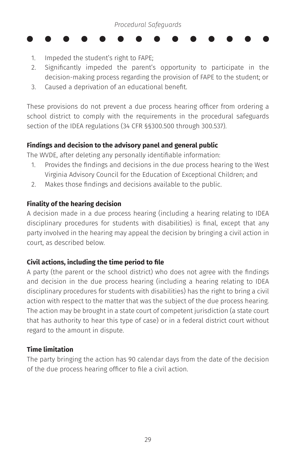- 1. Impeded the student's right to FAPE;
- 2. Significantly impeded the parent's opportunity to participate in the decision-making process regarding the provision of FAPE to the student; or
- 3. Caused a deprivation of an educational benefit.

These provisions do not prevent a due process hearing officer from ordering a school district to comply with the requirements in the procedural safeguards section of the IDEA regulations (34 CFR §§300.500 through 300.537).

### **Findings and decision to the advisory panel and general public**

The WVDE, after deleting any personally identifiable information:

- 1. Provides the findings and decisions in the due process hearing to the West Virginia Advisory Council for the Education of Exceptional Children; and
- 2. Makes those findings and decisions available to the public.

#### **Finality of the hearing decision**

A decision made in a due process hearing (including a hearing relating to IDEA disciplinary procedures for students with disabilities) is final, except that any party involved in the hearing may appeal the decision by bringing a civil action in court, as described below.

### **Civil actions, including the time period to file**

A party (the parent or the school district) who does not agree with the findings and decision in the due process hearing (including a hearing relating to IDEA disciplinary procedures for students with disabilities) has the right to bring a civil action with respect to the matter that was the subject of the due process hearing. The action may be brought in a state court of competent jurisdiction (a state court that has authority to hear this type of case) or in a federal district court without regard to the amount in dispute.

#### **Time limitation**

The party bringing the action has 90 calendar days from the date of the decision of the due process hearing officer to file a civil action.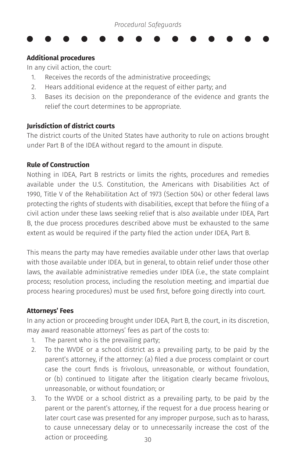

#### **Additional procedures**

In any civil action, the court:

- 1. Receives the records of the administrative proceedings;
- 2. Hears additional evidence at the request of either party; and
- 3. Bases its decision on the preponderance of the evidence and grants the relief the court determines to be appropriate.

### **Jurisdiction of district courts**

The district courts of the United States have authority to rule on actions brought under Part B of the IDEA without regard to the amount in dispute.

#### **Rule of Construction**

Nothing in IDEA, Part B restricts or limits the rights, procedures and remedies available under the U.S. Constitution, the Americans with Disabilities Act of 1990, Title V of the Rehabilitation Act of 1973 (Section 504) or other federal laws protecting the rights of students with disabilities, except that before the filing of a civil action under these laws seeking relief that is also available under IDEA, Part B, the due process procedures described above must be exhausted to the same extent as would be required if the party filed the action under IDEA, Part B.

This means the party may have remedies available under other laws that overlap with those available under IDEA, but in general, to obtain relief under those other laws, the available administrative remedies under IDEA (i.e., the state complaint process; resolution process, including the resolution meeting; and impartial due process hearing procedures) must be used first, before going directly into court.

### **Attorneys' Fees**

In any action or proceeding brought under IDEA, Part B, the court, in its discretion, may award reasonable attorneys' fees as part of the costs to:

- 1. The parent who is the prevailing party;
- 2. To the WVDE or a school district as a prevailing party, to be paid by the parent's attorney, if the attorney: (a) filed a due process complaint or court case the court finds is frivolous, unreasonable, or without foundation, or (b) continued to litigate after the litigation clearly became frivolous, unreasonable, or without foundation; or
- 30 3. To the WVDE or a school district as a prevailing party, to be paid by the parent or the parent's attorney, if the request for a due process hearing or later court case was presented for any improper purpose, such as to harass, to cause unnecessary delay or to unnecessarily increase the cost of the action or proceeding.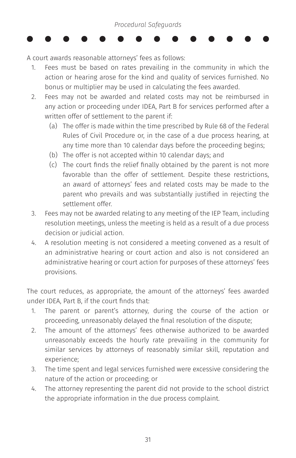

A court awards reasonable attorneys' fees as follows:

- 1. Fees must be based on rates prevailing in the community in which the action or hearing arose for the kind and quality of services furnished. No bonus or multiplier may be used in calculating the fees awarded.
- 2. Fees may not be awarded and related costs may not be reimbursed in any action or proceeding under IDEA, Part B for services performed after a written offer of settlement to the parent if:
	- (a) The offer is made within the time prescribed by Rule 68 of the Federal Rules of Civil Procedure or, in the case of a due process hearing, at any time more than 10 calendar days before the proceeding begins;
	- (b) The offer is not accepted within 10 calendar days; and
	- (c) The court finds the relief finally obtained by the parent is not more favorable than the offer of settlement. Despite these restrictions, an award of attorneys' fees and related costs may be made to the parent who prevails and was substantially justified in rejecting the settlement offer.
- 3. Fees may not be awarded relating to any meeting of the IEP Team, including resolution meetings, unless the meeting is held as a result of a due process decision or judicial action.
- 4. A resolution meeting is not considered a meeting convened as a result of an administrative hearing or court action and also is not considered an administrative hearing or court action for purposes of these attorneys' fees provisions.

The court reduces, as appropriate, the amount of the attorneys' fees awarded under IDEA, Part B, if the court finds that:

- 1. The parent or parent's attorney, during the course of the action or proceeding, unreasonably delayed the final resolution of the dispute;
- 2. The amount of the attorneys' fees otherwise authorized to be awarded unreasonably exceeds the hourly rate prevailing in the community for similar services by attorneys of reasonably similar skill, reputation and experience;
- 3. The time spent and legal services furnished were excessive considering the nature of the action or proceeding; or
- 4. The attorney representing the parent did not provide to the school district the appropriate information in the due process complaint.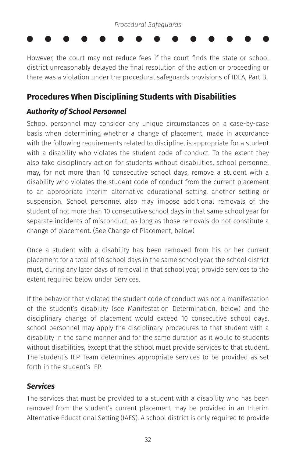

However, the court may not reduce fees if the court finds the state or school district unreasonably delayed the final resolution of the action or proceeding or there was a violation under the procedural safeguards provisions of IDEA, Part B.

# **Procedures When Disciplining Students with Disabilities**

# *Authority of School Personnel*

School personnel may consider any unique circumstances on a case-by-case basis when determining whether a change of placement, made in accordance with the following requirements related to discipline, is appropriate for a student with a disability who violates the student code of conduct. To the extent they also take disciplinary action for students without disabilities, school personnel may, for not more than 10 consecutive school days, remove a student with a disability who violates the student code of conduct from the current placement to an appropriate interim alternative educational setting, another setting or suspension. School personnel also may impose additional removals of the student of not more than 10 consecutive school days in that same school year for separate incidents of misconduct, as long as those removals do not constitute a change of placement. (See Change of Placement, below)

Once a student with a disability has been removed from his or her current placement for a total of 10 school days in the same school year, the school district must, during any later days of removal in that school year, provide services to the extent required below under Services.

If the behavior that violated the student code of conduct was not a manifestation of the student's disability (see Manifestation Determination, below) and the disciplinary change of placement would exceed 10 consecutive school days, school personnel may apply the disciplinary procedures to that student with a disability in the same manner and for the same duration as it would to students without disabilities, except that the school must provide services to that student. The student's IEP Team determines appropriate services to be provided as set forth in the student's IEP.

# *Services*

The services that must be provided to a student with a disability who has been removed from the student's current placement may be provided in an Interim Alternative Educational Setting (IAES). A school district is only required to provide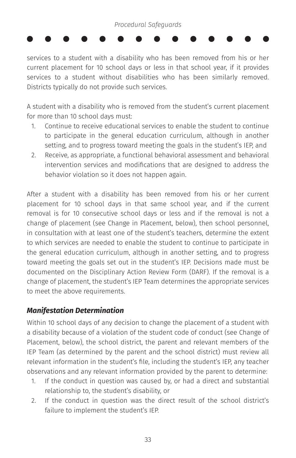

services to a student with a disability who has been removed from his or her current placement for 10 school days or less in that school year, if it provides services to a student without disabilities who has been similarly removed. Districts typically do not provide such services.

A student with a disability who is removed from the student's current placement for more than 10 school days must:

- 1. Continue to receive educational services to enable the student to continue to participate in the general education curriculum, although in another setting, and to progress toward meeting the goals in the student's IEP, and
- 2. Receive, as appropriate, a functional behavioral assessment and behavioral intervention services and modifications that are designed to address the behavior violation so it does not happen again.

After a student with a disability has been removed from his or her current placement for 10 school days in that same school year, and if the current removal is for 10 consecutive school days or less and if the removal is not a change of placement (see Change in Placement, below), then school personnel, in consultation with at least one of the student's teachers, determine the extent to which services are needed to enable the student to continue to participate in the general education curriculum, although in another setting, and to progress toward meeting the goals set out in the student's IEP. Decisions made must be documented on the Disciplinary Action Review Form (DARF). If the removal is a change of placement, the student's IEP Team determines the appropriate services to meet the above requirements.

# *Manifestation Determination*

Within 10 school days of any decision to change the placement of a student with a disability because of a violation of the student code of conduct (see Change of Placement, below), the school district, the parent and relevant members of the IEP Team (as determined by the parent and the school district) must review all relevant information in the student's file, including the student's IEP, any teacher observations and any relevant information provided by the parent to determine:

- 1. If the conduct in question was caused by, or had a direct and substantial relationship to, the student's disability, or
- 2. If the conduct in question was the direct result of the school district's failure to implement the student's IEP.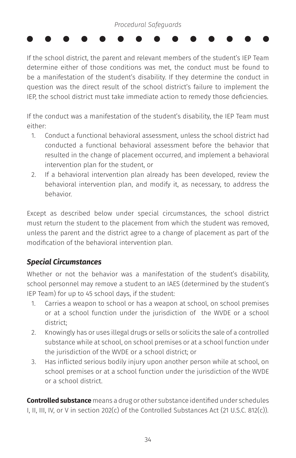

If the school district, the parent and relevant members of the student's IEP Team determine either of those conditions was met, the conduct must be found to be a manifestation of the student's disability. If they determine the conduct in question was the direct result of the school district's failure to implement the IEP, the school district must take immediate action to remedy those deficiencies.

If the conduct was a manifestation of the student's disability, the IEP Team must either:

- 1. Conduct a functional behavioral assessment, unless the school district had conducted a functional behavioral assessment before the behavior that resulted in the change of placement occurred, and implement a behavioral intervention plan for the student, or
- 2. If a behavioral intervention plan already has been developed, review the behavioral intervention plan, and modify it, as necessary, to address the behavior.

Except as described below under special circumstances, the school district must return the student to the placement from which the student was removed, unless the parent and the district agree to a change of placement as part of the modification of the behavioral intervention plan.

# *Special Circumstances*

Whether or not the behavior was a manifestation of the student's disability, school personnel may remove a student to an IAES (determined by the student's IEP Team) for up to 45 school days, if the student:

- 1. Carries a weapon to school or has a weapon at school, on school premises or at a school function under the jurisdiction of the WVDE or a school district;
- 2. Knowingly has or uses illegal drugs or sells or solicits the sale of a controlled substance while at school, on school premises or at a school function under the jurisdiction of the WVDE or a school district; or
- 3. Has inflicted serious bodily injury upon another person while at school, on school premises or at a school function under the jurisdiction of the WVDE or a school district.

**Controlled substance** means a drug or other substance identified under schedules I, II, III, IV, or V in section 202(c) of the Controlled Substances Act (21 U.S.C. 812(c)).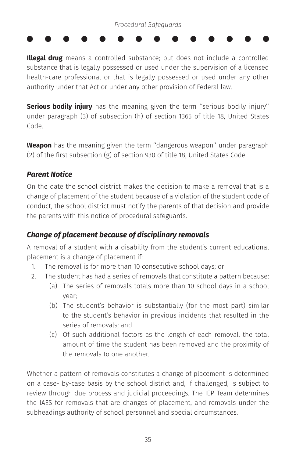

**Illegal drug** means a controlled substance; but does not include a controlled substance that is legally possessed or used under the supervision of a licensed health-care professional or that is legally possessed or used under any other authority under that Act or under any other provision of Federal law.

**Serious bodily injury** has the meaning given the term "serious bodily injury" under paragraph (3) of subsection (h) of section 1365 of title 18, United States Code.

**Weapon** has the meaning given the term ''dangerous weapon'' under paragraph (2) of the first subsection (g) of section 930 of title 18, United States Code.

# *Parent Notice*

On the date the school district makes the decision to make a removal that is a change of placement of the student because of a violation of the student code of conduct, the school district must notify the parents of that decision and provide the parents with this notice of procedural safeguards.

# *Change of placement because of disciplinary removals*

A removal of a student with a disability from the student's current educational placement is a change of placement if:

- 1. The removal is for more than 10 consecutive school days; or
- 2. The student has had a series of removals that constitute a pattern because:
	- (a) The series of removals totals more than 10 school days in a school year;
	- (b) The student's behavior is substantially (for the most part) similar to the student's behavior in previous incidents that resulted in the series of removals; and
	- (c) Of such additional factors as the length of each removal, the total amount of time the student has been removed and the proximity of the removals to one another.

Whether a pattern of removals constitutes a change of placement is determined on a case- by-case basis by the school district and, if challenged, is subject to review through due process and judicial proceedings. The IEP Team determines the IAES for removals that are changes of placement, and removals under the subheadings authority of school personnel and special circumstances.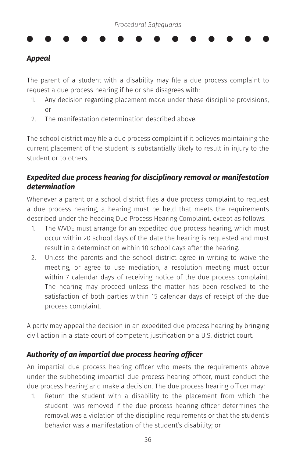

# *Appeal*

The parent of a student with a disability may file a due process complaint to request a due process hearing if he or she disagrees with:

- 1. Any decision regarding placement made under these discipline provisions, or
- 2. The manifestation determination described above.

The school district may file a due process complaint if it believes maintaining the current placement of the student is substantially likely to result in injury to the student or to others.

# *Expedited due process hearing for disciplinary removal or manifestation determination*

Whenever a parent or a school district files a due process complaint to request a due process hearing, a hearing must be held that meets the requirements described under the heading Due Process Hearing Complaint, except as follows:

- 1. The WVDE must arrange for an expedited due process hearing, which must occur within 20 school days of the date the hearing is requested and must result in a determination within 10 school days after the hearing.
- 2. Unless the parents and the school district agree in writing to waive the meeting, or agree to use mediation, a resolution meeting must occur within 7 calendar days of receiving notice of the due process complaint. The hearing may proceed unless the matter has been resolved to the satisfaction of both parties within 15 calendar days of receipt of the due process complaint.

A party may appeal the decision in an expedited due process hearing by bringing civil action in a state court of competent justification or a U.S. district court.

# *Authority of an impartial due process hearing officer*

An impartial due process hearing officer who meets the requirements above under the subheading impartial due process hearing officer, must conduct the due process hearing and make a decision. The due process hearing officer may:

1. Return the student with a disability to the placement from which the student was removed if the due process hearing officer determines the removal was a violation of the discipline requirements or that the student's behavior was a manifestation of the student's disability; or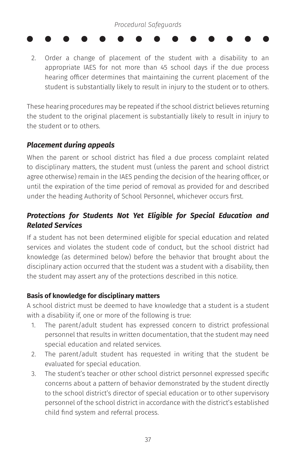

2. Order a change of placement of the student with a disability to an appropriate IAES for not more than 45 school days if the due process hearing officer determines that maintaining the current placement of the student is substantially likely to result in injury to the student or to others.

These hearing procedures may be repeated if the school district believes returning the student to the original placement is substantially likely to result in injury to the student or to others.

# *Placement during appeals*

When the parent or school district has filed a due process complaint related to disciplinary matters, the student must (unless the parent and school district agree otherwise) remain in the IAES pending the decision of the hearing officer, or until the expiration of the time period of removal as provided for and described under the heading Authority of School Personnel, whichever occurs first.

# *Protections for Students Not Yet Eligible for Special Education and Related Services*

If a student has not been determined eligible for special education and related services and violates the student code of conduct, but the school district had knowledge (as determined below) before the behavior that brought about the disciplinary action occurred that the student was a student with a disability, then the student may assert any of the protections described in this notice.

### **Basis of knowledge for disciplinary matters**

A school district must be deemed to have knowledge that a student is a student with a disability if, one or more of the following is true:

- 1. The parent/adult student has expressed concern to district professional personnel that results in written documentation, that the student may need special education and related services.
- 2. The parent/adult student has requested in writing that the student be evaluated for special education.
- 3. The student's teacher or other school district personnel expressed specific concerns about a pattern of behavior demonstrated by the student directly to the school district's director of special education or to other supervisory personnel of the school district in accordance with the district's established child find system and referral process.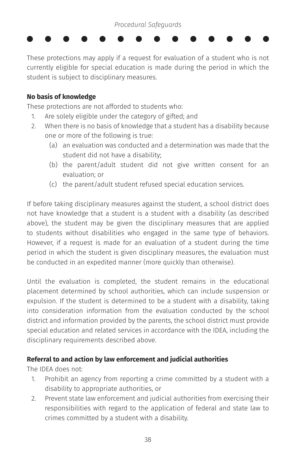

These protections may apply if a request for evaluation of a student who is not currently eligible for special education is made during the period in which the student is subject to disciplinary measures.

#### **No basis of knowledge**

These protections are not afforded to students who:

- 1. Are solely eligible under the category of gifted; and
- 2. When there is no basis of knowledge that a student has a disability because one or more of the following is true:
	- (a) an evaluation was conducted and a determination was made that the student did not have a disability;
	- (b) the parent/adult student did not give written consent for an evaluation; or
	- (c) the parent/adult student refused special education services.

If before taking disciplinary measures against the student, a school district does not have knowledge that a student is a student with a disability (as described above), the student may be given the disciplinary measures that are applied to students without disabilities who engaged in the same type of behaviors. However, if a request is made for an evaluation of a student during the time period in which the student is given disciplinary measures, the evaluation must be conducted in an expedited manner (more quickly than otherwise).

Until the evaluation is completed, the student remains in the educational placement determined by school authorities, which can include suspension or expulsion. If the student is determined to be a student with a disability, taking into consideration information from the evaluation conducted by the school district and information provided by the parents, the school district must provide special education and related services in accordance with the IDEA, including the disciplinary requirements described above.

### **Referral to and action by law enforcement and judicial authorities**

The IDEA does not:

- 1. Prohibit an agency from reporting a crime committed by a student with a disability to appropriate authorities, or
- 2. Prevent state law enforcement and judicial authorities from exercising their responsibilities with regard to the application of federal and state law to crimes committed by a student with a disability.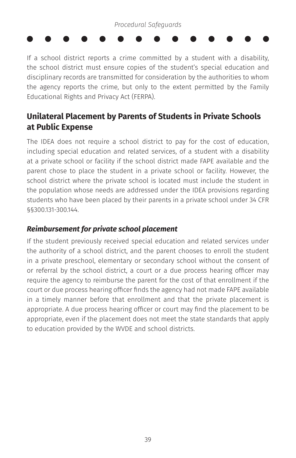

If a school district reports a crime committed by a student with a disability, the school district must ensure copies of the student's special education and disciplinary records are transmitted for consideration by the authorities to whom the agency reports the crime, but only to the extent permitted by the Family Educational Rights and Privacy Act (FERPA).

# **Unilateral Placement by Parents of Students in Private Schools at Public Expense**

The IDEA does not require a school district to pay for the cost of education, including special education and related services, of a student with a disability at a private school or facility if the school district made FAPE available and the parent chose to place the student in a private school or facility. However, the school district where the private school is located must include the student in the population whose needs are addressed under the IDEA provisions regarding students who have been placed by their parents in a private school under 34 CFR §§300.131-300.144.

# *Reimbursement for private school placement*

If the student previously received special education and related services under the authority of a school district, and the parent chooses to enroll the student in a private preschool, elementary or secondary school without the consent of or referral by the school district, a court or a due process hearing officer may require the agency to reimburse the parent for the cost of that enrollment if the court or due process hearing officer finds the agency had not made FAPE available in a timely manner before that enrollment and that the private placement is appropriate. A due process hearing officer or court may find the placement to be appropriate, even if the placement does not meet the state standards that apply to education provided by the WVDE and school districts.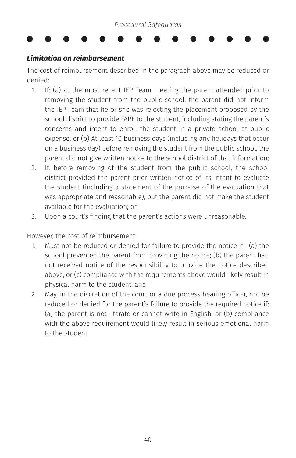

# *Limitation on reimbursement*

The cost of reimbursement described in the paragraph above may be reduced or denied:

- 1. If: (a) at the most recent IEP Team meeting the parent attended prior to removing the student from the public school, the parent did not inform the IEP Team that he or she was rejecting the placement proposed by the school district to provide FAPE to the student, including stating the parent's concerns and intent to enroll the student in a private school at public expense; or (b) At least 10 business days (including any holidays that occur on a business day) before removing the student from the public school, the parent did not give written notice to the school district of that information;
- 2. If, before removing of the student from the public school, the school district provided the parent prior written notice of its intent to evaluate the student (including a statement of the purpose of the evaluation that was appropriate and reasonable), but the parent did not make the student available for the evaluation; or
- 3. Upon a court's finding that the parent's actions were unreasonable.

However, the cost of reimbursement:

- 1. Must not be reduced or denied for failure to provide the notice if: (a) the school prevented the parent from providing the notice; (b) the parent had not received notice of the responsibility to provide the notice described above; or (c) compliance with the requirements above would likely result in physical harm to the student; and
- 2. May, in the discretion of the court or a due process hearing officer, not be reduced or denied for the parent's failure to provide the required notice if: (a) the parent is not literate or cannot write in English; or (b) compliance with the above requirement would likely result in serious emotional harm to the student.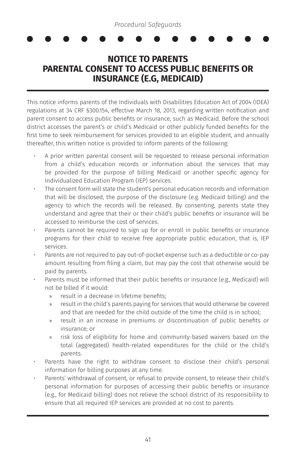# **NOTICE TO PARENTS PARENTAL CONSENT TO ACCESS PUBLIC BENEFITS OR INSURANCE (E.G, MEDICAID)**

This notice informs parents of the Individuals with Disabilities Education Act of 2004 (IDEA) regulations at 34 CRF §300.154, effective March 18, 2013, regarding written notification and parent consent to access public benefits or insurance, such as Medicaid. Before the school district accesses the parent's or child's Medicaid or other publicly funded benefits for the first time to seek reimbursement for services provided to an eligible student, and annually thereafter, this written notice is provided to inform parents of the following:

- A prior written parental consent will be requested to release personal information from a child's education records or information about the services that may be provided for the purpose of billing Medicaid or another specific agency for Individualized Education Program (IEP) services.
- The consent form will state the student's personal education records and information that will be disclosed, the purpose of the disclosure (e.g. Medicaid billing) and the agency to which the records will be released. By consenting, parents state they understand and agree that their or their child's public benefits or insurance will be accessed to reimburse the cost of services.
- Parents cannot be required to sign up for or enroll in public benefits or insurance programs for their child to receive free appropriate public education, that is, IEP services.
- Parents are not required to pay out-of-pocket expense such as a deductible or co-pay amount resulting from filing a claim, but may pay the cost that otherwise would be paid by parents.
- Parents must be informed that their public benefits or insurance (e.g., Medicaid) will not be billed if it would:
	- » result in a decrease in lifetime benefits;
	- » result in the child's parents paying for services that would otherwise be covered and that are needed for the child outside of the time the child is in school;
	- » result in an increase in premiums or discontinuation of public benefits or insurance; or
	- » risk loss of eligibility for home and community-based waivers based on the total (aggregated) health-related expenditures for the child or the child's parents.
- Parents have the right to withdraw consent to disclose their child's personal information for billing purposes at any time.
- Parents' withdrawal of consent, or refusal to provide consent, to release their child's personal information for purposes of accessing their public benefits or insurance (e.g., for Medicaid billing) does not relieve the school district of its responsibility to ensure that all required IEP services are provided at no cost to parents.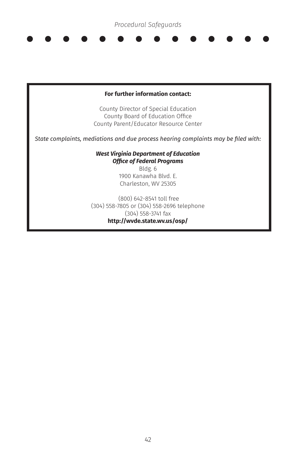



County Director of Special Education County Board of Education Office County Parent/Educator Resource Center

*State complaints, mediations and due process hearing complaints may be filed with:*

#### *West Virginia Department of Education Office of Federal Programs*

Bldg. 6 1900 Kanawha Blvd. E. Charleston, WV 25305

 (800) 642-8541 toll free (304) 558-7805 or (304) 558-2696 telephone (304) 558-3741 fax **http://wvde.state.wv.us/osp/**